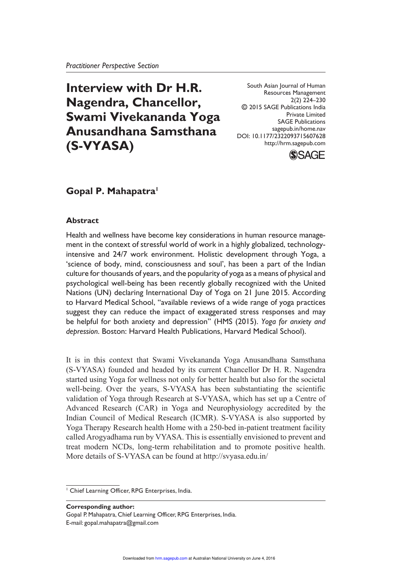**Interview with Dr H.R. Nagendra, Chancellor, Swami Vivekananda Yoga Anusandhana Samsthana (S-VYASA)**

South Asian Journal of Human Resources Management 2(2) 224–230 2015 SAGE Publications India Private Limited SAGE Publications sagepub.in/home.nav DOI: 10.1177/2322093715607628 http://hrm.sagepub.com



# **Gopal P. Mahapatra<sup>1</sup>**

# **Abstract**

Health and wellness have become key considerations in human resource management in the context of stressful world of work in a highly globalized, technologyintensive and 24/7 work environment. Holistic development through Yoga, a 'science of body, mind, consciousness and soul', has been a part of the Indian culture for thousands of years, and the popularity of yoga as a means of physical and psychological well-being has been recently globally recognized with the United Nations (UN) declaring International Day of Yoga on 21 June 2015. According to Harvard Medical School, "available reviews of a wide range of yoga practices suggest they can reduce the impact of exaggerated stress responses and may be helpful for both anxiety and depression" (HMS (2015). *Yoga for anxiety and depression*. Boston: Harvard Health Publications, Harvard Medical School).

It is in this context that Swami Vivekananda Yoga Anusandhana Samsthana (S-VYASA) founded and headed by its current Chancellor Dr H. R. Nagendra started using Yoga for wellness not only for better health but also for the societal well-being. Over the years, S-VYASA has been substantiating the scientific validation of Yoga through Research at S-VYASA, which has set up a Centre of Advanced Research (CAR) in Yoga and Neurophysiology accredited by the Indian Council of Medical Research (ICMR). S-VYASA is also supported by Yoga Therapy Research health Home with a 250-bed in-patient treatment facility called Arogyadhama run by VYASA. This is essentially envisioned to prevent and treat modern NCDs, long-term rehabilitation and to promote positive health. More details of S-VYASA can be found at http://svyasa.edu.in/

**Corresponding author:** Gopal P. Mahapatra, Chief Learning Officer, RPG Enterprises, India. E-mail: gopal.mahapatra@gmail.com

<sup>&</sup>lt;sup>1</sup> Chief Learning Officer, RPG Enterprises, India.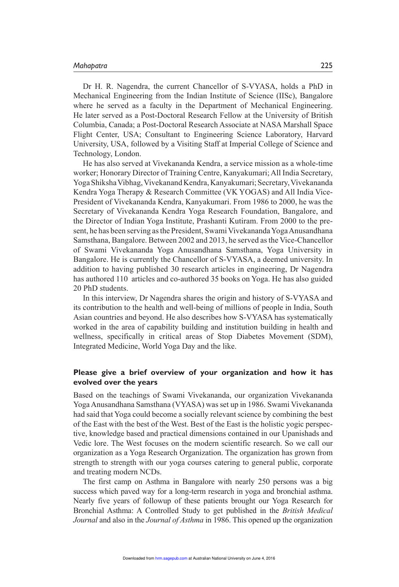Dr H. R. Nagendra, the current Chancellor of S-VYASA, holds a PhD in Mechanical Engineering from the Indian Institute of Science (IISc), Bangalore where he served as a faculty in the Department of Mechanical Engineering. He later served as a Post-Doctoral Research Fellow at the University of British Columbia, Canada; a Post-Doctoral Research Associate at NASA Marshall Space Flight Center, USA; Consultant to Engineering Science Laboratory, Harvard University, USA, followed by a Visiting Staff at Imperial College of Science and Technology, London.

He has also served at Vivekananda Kendra, a service mission as a whole-time worker; Honorary Director of Training Centre, Kanyakumari; All India Secretary, Yoga Shiksha Vibhag, Vivekanand Kendra, Kanyakumari; Secretary, Vivekananda Kendra Yoga Therapy & Research Committee (VK YOGAS) and All India Vice-President of Vivekananda Kendra, Kanyakumari. From 1986 to 2000, he was the Secretary of Vivekananda Kendra Yoga Research Foundation, Bangalore, and the Director of Indian Yoga Institute, Prashanti Kutiram. From 2000 to the present, he has been serving as the President, Swami Vivekananda Yoga Anusandhana Samsthana, Bangalore. Between 2002 and 2013, he served as the Vice-Chancellor of Swami Vivekananda Yoga Anusandhana Samsthana, Yoga University in Bangalore. He is currently the Chancellor of S-VYASA, a deemed university. In addition to having published 30 research articles in engineering, Dr Nagendra has authored 110 articles and co-authored 35 books on Yoga. He has also guided 20 PhD students.

In this interview, Dr Nagendra shares the origin and history of S-VYASA and its contribution to the health and well-being of millions of people in India, South Asian countries and beyond. He also describes how S-VYASA has systematically worked in the area of capability building and institution building in health and wellness, specifically in critical areas of Stop Diabetes Movement (SDM), Integrated Medicine, World Yoga Day and the like.

### **Please give a brief overview of your organization and how it has evolved over the years**

Based on the teachings of Swami Vivekananda, our organization Vivekananda Yoga Anusandhana Samsthana (VYASA) was set up in 1986. Swami Vivekananda had said that Yoga could become a socially relevant science by combining the best of the East with the best of the West. Best of the East is the holistic yogic perspective, knowledge based and practical dimensions contained in our Upanishads and Vedic lore. The West focuses on the modern scientific research. So we call our organization as a Yoga Research Organization. The organization has grown from strength to strength with our yoga courses catering to general public, corporate and treating modern NCDs.

The first camp on Asthma in Bangalore with nearly 250 persons was a big success which paved way for a long-term research in yoga and bronchial asthma. Nearly five years of followup of these patients brought our Yoga Research for Bronchial Asthma: A Controlled Study to get published in the *British Medical Journal* and also in the *Journal of Asthma* in 1986. This opened up the organization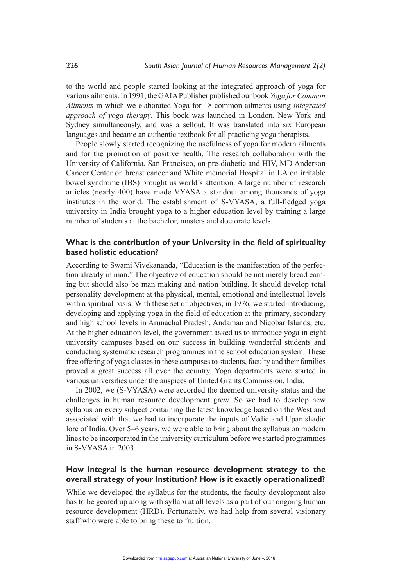to the world and people started looking at the integrated approach of yoga for various ailments. In 1991, the GAIA Publisher published our book *Yoga for Common Ailments* in which we elaborated Yoga for 18 common ailments using *integrated approach of yoga therapy*. This book was launched in London, New York and Sydney simultaneously, and was a sellout. It was translated into six European languages and became an authentic textbook for all practicing yoga therapists.

People slowly started recognizing the usefulness of yoga for modern ailments and for the promotion of positive health. The research collaboration with the University of California, San Francisco, on pre-diabetic and HIV, MD Anderson Cancer Center on breast cancer and White memorial Hospital in LA on irritable bowel syndrome (IBS) brought us world's attention. A large number of research articles (nearly 400) have made VYASA a standout among thousands of yoga institutes in the world. The establishment of S-VYASA, a full-fledged yoga university in India brought yoga to a higher education level by training a large number of students at the bachelor, masters and doctorate levels.

## **What is the contribution of your University in the field of spirituality based holistic education?**

According to Swami Vivekananda, "Education is the manifestation of the perfection already in man." The objective of education should be not merely bread earning but should also be man making and nation building. It should develop total personality development at the physical, mental, emotional and intellectual levels with a spiritual basis. With these set of objectives, in 1976, we started introducing, developing and applying yoga in the field of education at the primary, secondary and high school levels in Arunachal Pradesh, Andaman and Nicobar Islands, etc. At the higher education level, the government asked us to introduce yoga in eight university campuses based on our success in building wonderful students and conducting systematic research programmes in the school education system. These free offering of yoga classes in these campuses to students, faculty and their families proved a great success all over the country. Yoga departments were started in various universities under the auspices of United Grants Commission, India.

In 2002, we (S-VYASA) were accorded the deemed university status and the challenges in human resource development grew. So we had to develop new syllabus on every subject containing the latest knowledge based on the West and associated with that we had to incorporate the inputs of Vedic and Upanishadic lore of India. Over 5–6 years, we were able to bring about the syllabus on modern lines to be incorporated in the university curriculum before we started programmes in S-VYASA in 2003.

# **How integral is the human resource development strategy to the overall strategy of your Institution? How is it exactly operationalized?**

While we developed the syllabus for the students, the faculty development also has to be geared up along with syllabi at all levels as a part of our ongoing human resource development (HRD). Fortunately, we had help from several visionary staff who were able to bring these to fruition.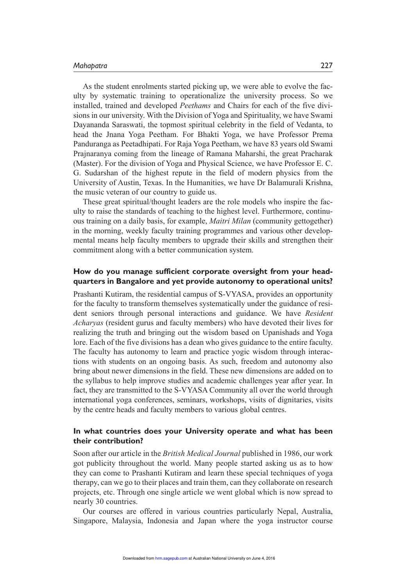As the student enrolments started picking up, we were able to evolve the faculty by systematic training to operationalize the university process. So we installed, trained and developed *Peethams* and Chairs for each of the five divisions in our university. With the Division of Yoga and Spirituality, we have Swami Dayananda Saraswati, the topmost spiritual celebrity in the field of Vedanta, to head the Jnana Yoga Peetham. For Bhakti Yoga, we have Professor Prema Panduranga as Peetadhipati. For Raja Yoga Peetham, we have 83 years old Swami Prajnaranya coming from the lineage of Ramana Maharshi, the great Pracharak (Master). For the division of Yoga and Physical Science, we have Professor E. C. G. Sudarshan of the highest repute in the field of modern physics from the University of Austin, Texas. In the Humanities, we have Dr Balamurali Krishna, the music veteran of our country to guide us.

These great spiritual/thought leaders are the role models who inspire the faculty to raise the standards of teaching to the highest level. Furthermore, continuous training on a daily basis, for example, *Maitri Milan* (community gettogether) in the morning, weekly faculty training programmes and various other developmental means help faculty members to upgrade their skills and strengthen their commitment along with a better communication system.

### **How do you manage sufficient corporate oversight from your headquarters in Bangalore and yet provide autonomy to operational units?**

Prashanti Kutiram, the residential campus of S-VYASA, provides an opportunity for the faculty to transform themselves systematically under the guidance of resident seniors through personal interactions and guidance. We have *Resident Acharyas* (resident gurus and faculty members) who have devoted their lives for realizing the truth and bringing out the wisdom based on Upanishads and Yoga lore. Each of the five divisions has a dean who gives guidance to the entire faculty. The faculty has autonomy to learn and practice yogic wisdom through interactions with students on an ongoing basis. As such, freedom and autonomy also bring about newer dimensions in the field. These new dimensions are added on to the syllabus to help improve studies and academic challenges year after year. In fact, they are transmitted to the S-VYASA Community all over the world through international yoga conferences, seminars, workshops, visits of dignitaries, visits by the centre heads and faculty members to various global centres.

# **In what countries does your University operate and what has been their contribution?**

Soon after our article in the *British Medical Journal* published in 1986, our work got publicity throughout the world. Many people started asking us as to how they can come to Prashanti Kutiram and learn these special techniques of yoga therapy, can we go to their places and train them, can they collaborate on research projects, etc. Through one single article we went global which is now spread to nearly 30 countries.

Our courses are offered in various countries particularly Nepal, Australia, Singapore, Malaysia, Indonesia and Japan where the yoga instructor course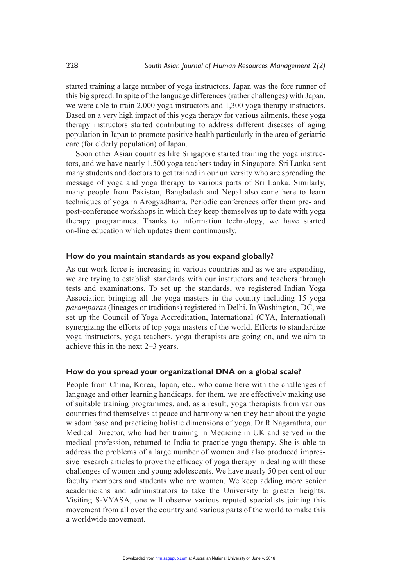started training a large number of yoga instructors. Japan was the fore runner of this big spread. In spite of the language differences (rather challenges) with Japan, we were able to train 2,000 yoga instructors and 1,300 yoga therapy instructors. Based on a very high impact of this yoga therapy for various ailments, these yoga therapy instructors started contributing to address different diseases of aging population in Japan to promote positive health particularly in the area of geriatric care (for elderly population) of Japan.

Soon other Asian countries like Singapore started training the yoga instructors, and we have nearly 1,500 yoga teachers today in Singapore. Sri Lanka sent many students and doctors to get trained in our university who are spreading the message of yoga and yoga therapy to various parts of Sri Lanka. Similarly, many people from Pakistan, Bangladesh and Nepal also came here to learn techniques of yoga in Arogyadhama. Periodic conferences offer them pre- and post-conference workshops in which they keep themselves up to date with yoga therapy programmes. Thanks to information technology, we have started on-line education which updates them continuously.

#### **How do you maintain standards as you expand globally?**

As our work force is increasing in various countries and as we are expanding, we are trying to establish standards with our instructors and teachers through tests and examinations. To set up the standards, we registered Indian Yoga Association bringing all the yoga masters in the country including 15 yoga *paramparas* (lineages or traditions) registered in Delhi. In Washington, DC, we set up the Council of Yoga Accreditation, International (CYA, International) synergizing the efforts of top yoga masters of the world. Efforts to standardize yoga instructors, yoga teachers, yoga therapists are going on, and we aim to achieve this in the next 2–3 years.

#### **How do you spread your organizational DNA on a global scale?**

People from China, Korea, Japan, etc., who came here with the challenges of language and other learning handicaps, for them, we are effectively making use of suitable training programmes, and, as a result, yoga therapists from various countries find themselves at peace and harmony when they hear about the yogic wisdom base and practicing holistic dimensions of yoga. Dr R Nagarathna, our Medical Director, who had her training in Medicine in UK and served in the medical profession, returned to India to practice yoga therapy. She is able to address the problems of a large number of women and also produced impressive research articles to prove the efficacy of yoga therapy in dealing with these challenges of women and young adolescents. We have nearly 50 per cent of our faculty members and students who are women. We keep adding more senior academicians and administrators to take the University to greater heights. Visiting S-VYASA, one will observe various reputed specialists joining this movement from all over the country and various parts of the world to make this a worldwide movement.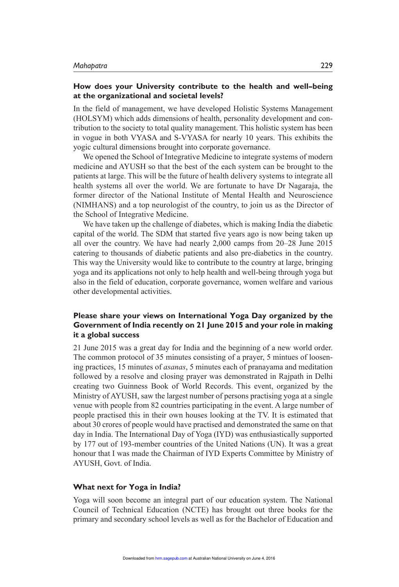### **How does your University contribute to the health and well–being at the organizational and societal levels?**

In the field of management, we have developed Holistic Systems Management (HOLSYM) which adds dimensions of health, personality development and contribution to the society to total quality management. This holistic system has been in vogue in both VYASA and S-VYASA for nearly 10 years. This exhibits the yogic cultural dimensions brought into corporate governance.

We opened the School of Integrative Medicine to integrate systems of modern medicine and AYUSH so that the best of the each system can be brought to the patients at large. This will be the future of health delivery systems to integrate all health systems all over the world. We are fortunate to have Dr Nagaraja, the former director of the National Institute of Mental Health and Neuroscience (NIMHANS) and a top neurologist of the country, to join us as the Director of the School of Integrative Medicine.

We have taken up the challenge of diabetes, which is making India the diabetic capital of the world. The SDM that started five years ago is now being taken up all over the country. We have had nearly 2,000 camps from 20–28 June 2015 catering to thousands of diabetic patients and also pre-diabetics in the country. This way the University would like to contribute to the country at large, bringing yoga and its applications not only to help health and well-being through yoga but also in the field of education, corporate governance, women welfare and various other developmental activities.

# **Please share your views on International Yoga Day organized by the Government of India recently on 21 June 2015 and your role in making it a global success**

21 June 2015 was a great day for India and the beginning of a new world order. The common protocol of 35 minutes consisting of a prayer, 5 mintues of loosening practices, 15 minutes of *asanas*, 5 minutes each of pranayama and meditation followed by a resolve and closing prayer was demonstrated in Rajpath in Delhi creating two Guinness Book of World Records. This event, organized by the Ministry of AYUSH, saw the largest number of persons practising yoga at a single venue with people from 82 countries participating in the event. A large number of people practised this in their own houses looking at the TV. It is estimated that about 30 crores of people would have practised and demonstrated the same on that day in India. The International Day of Yoga (IYD) was enthusiastically supported by 177 out of 193-member countries of the United Nations (UN). It was a great honour that I was made the Chairman of IYD Experts Committee by Ministry of AYUSH, Govt. of India.

#### **What next for Yoga in India?**

Yoga will soon become an integral part of our education system. The National Council of Technical Education (NCTE) has brought out three books for the primary and secondary school levels as well as for the Bachelor of Education and